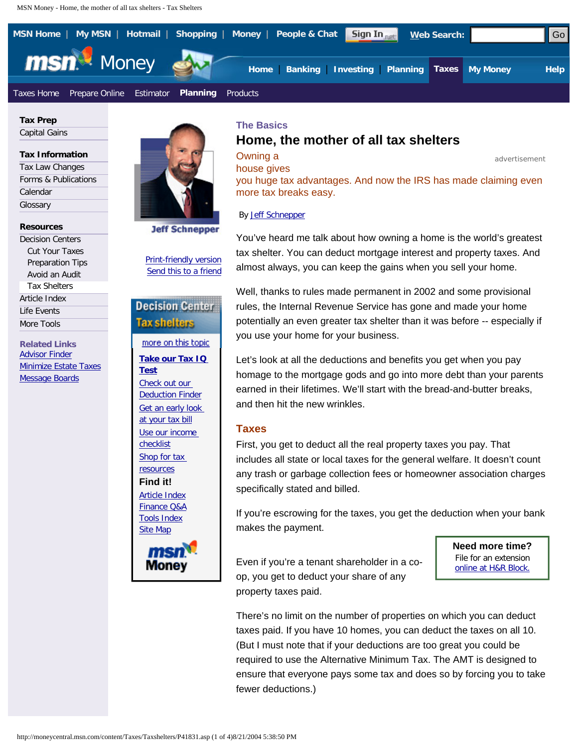<span id="page-0-0"></span>

**Tax Prep**  [Capital Gains](http://moneycentral.msn.com/tax/gkentry.aspx)

#### **Tax Information**

| Tax Law Changes                 |
|---------------------------------|
| <b>Forms &amp; Publications</b> |
| Calendar                        |
| Glossary                        |

**Resources** 

[Decision Centers](http://moneycentral.msn.com/Content/Taxes/Cutyourtaxes/CutyourTaxes.asp) [Cut Your Taxes](http://moneycentral.msn.com/Content/Taxes/Cutyourtaxes/CutyourTaxes.asp) [Preparation Tips](http://moneycentral.msn.com/Content/Taxes/Preparationtips/Preparationtips.asp) [Avoid an Audit](http://moneycentral.msn.com/Content/Taxes/Avoidanaudit/Avoidanaudit.asp) [Tax Shelters](http://moneycentral.msn.com/Content/Taxes/Taxshelters/Taxshelters.asp) [Article Index](http://moneycentral.msn.com/Editorial/Index/homedept.asp?c=7&a=7) [Life Events](http://moneycentral.msn.com/tax/lifeevents.asp) [More Tools](http://moneycentral.msn.com/investor/calcs/n_deduct/main.asp)

**Related Links** [Advisor Finder](http://moneycentral.msn.com/investor/dalbar/main.asp) [Minimize Estate Taxes](http://moneycentral.msn.com/Content/Taxes/Cutyourtaxes/CutyourTaxes.asp) [Message Boards](http://moneycentral.msn.com/community/message/)



[Print-friendly version](http://moneycentral.msn.com/content/Taxes/Taxshelters/P41831.asp?Printer) [Send this to a friend](mailto:?subject=The Basics&body=http://moneycentral.msn.com/content/Taxes/Taxshelters/P41831.asp)

**[Take our Tax IQ](http://g.msn.com/0MCUSENSTATIC/TAXSHELTERS-SIDE?http://moneycentral.msn.com/investor/calcs/n_taxq/main.asp&&HL=Take+our+Tax+IQ+Test) [Test](http://g.msn.com/0MCUSENSTATIC/TAXSHELTERS-SIDE?http://moneycentral.msn.com/investor/calcs/n_taxq/main.asp&&HL=Take+our+Tax+IQ+Test)** [Check out our](http://g.msn.com/0MCUSENSTATIC/TAXSHELTERS-SIDE?http://moneycentral.msn.com/investor/calcs/n_deduct/main.asp&&HL=Check+out+our+Deduction+Finder)  [Deduction Finder](http://g.msn.com/0MCUSENSTATIC/TAXSHELTERS-SIDE?http://moneycentral.msn.com/investor/calcs/n_deduct/main.asp&&HL=Check+out+our+Deduction+Finder) [Get an early look](http://g.msn.com/0MCUSENSTATIC/TAXSHELTERS-SIDE?http://moneycentral.msn.com/investor/calcs/n_tax/main.asp&&HL=Get+an+early+look+at+your+tax+bill)  [at your tax bill](http://g.msn.com/0MCUSENSTATIC/TAXSHELTERS-SIDE?http://moneycentral.msn.com/investor/calcs/n_tax/main.asp&&HL=Get+an+early+look+at+your+tax+bill) [Use our income](http://g.msn.com/0MCUSENSTATIC/TAXSHELTERS-SIDE?http://moneycentral.msn.com/articles/tax/checklist/5979.asp&&HL=Use+our+income+checklist) [checklist](http://g.msn.com/0MCUSENSTATIC/TAXSHELTERS-SIDE?http://moneycentral.msn.com/articles/tax/checklist/5979.asp&&HL=Use+our+income+checklist) [Shop for tax](http://g.msn.com/0MCUSENSTATIC/TAXSHELTERS-SIDE?http://shopping.msn.com/link.aspx?ilId=19114&&HL=Shop+for+tax+resources) [resources](http://g.msn.com/0MCUSENSTATIC/TAXSHELTERS-SIDE?http://shopping.msn.com/link.aspx?ilId=19114&&HL=Shop+for+tax+resources) **Find it!** [Article Index](http://g.msn.com/0MCUSENSTATIC/COOLTOOLS/ARTICLEINDEX?http://moneycentral.msn.com/invest/insight/homedept.asp&&HL=Article+Index) [Finance Q&A](http://g.msn.com/0MCUSENSTATIC/COOLTOOLS/QUICKREF?http://moneycentral.msn.com/quickref/quickref.asp?cat=6&&HL=Finance+Q%26A) [Tools Index](http://g.msn.com/0MCUSENSTATIC/COOLTOOLS/TOOLINDEX?http://moneycentral.msn.com/help/tools.asp&&HL=Tools+Index) [Site Map](http://g.msn.com/0MCUSENSTATIC/COOLTOOLS/SITEMAP?http://moneycentral.msn.com/help/sitemap.asp&&HL=Site+Map)



# **Home, the mother of all tax shelters**

**Owning a** advertisement

house gives you huge tax advantages. And now the IRS has made claiming even more tax breaks easy.

By [Jeff Schnepper](http://moneycentral.msn.com/Content/contributors.asp#Schnepper)

You've heard me talk about how owning a home is the world's greatest tax shelter. You can deduct mortgage interest and property taxes. And almost always, you can keep the gains when you sell your home.

Well, thanks to rules made permanent in 2002 and some provisional rules, the Internal Revenue Service has gone and made your home potentially an even greater tax shelter than it was before -- especially if you use your home for your business.

Let's look at all the deductions and benefits you get when you pay homage to the mortgage gods and go into more debt than your parents earned in their lifetimes. We'll start with the bread-and-butter breaks, and then hit the new wrinkles.

## **Taxes**

First, you get to deduct all the real property taxes you pay. That includes all state or local taxes for the general welfare. It doesn't count any trash or garbage collection fees or homeowner association charges specifically stated and billed.

If you're escrowing for the taxes, you get the deduction when your bank makes the payment.

Even if you're a tenant shareholder in a co-<br>[online at H&R Block.](http://g.msn.com/0MCUSENSTATIC/MC_HREDITOR?http://ad.doubleclick.net/clk;7849639;9039996;q?http://www.hrblock.com/taxes/partner/product.jsp?otpPartnerId=1038&productId=46) op, you get to deduct your share of any property taxes paid.

**Need more time?** File for an extension

There's no limit on the number of properties on which you can deduct taxes paid. If you have 10 homes, you can deduct the taxes on all 10. (But I must note that if your deductions are too great you could be required to use the Alternative Minimum Tax. The AMT is designed to ensure that everyone pays some tax and does so by forcing you to take fewer deductions.)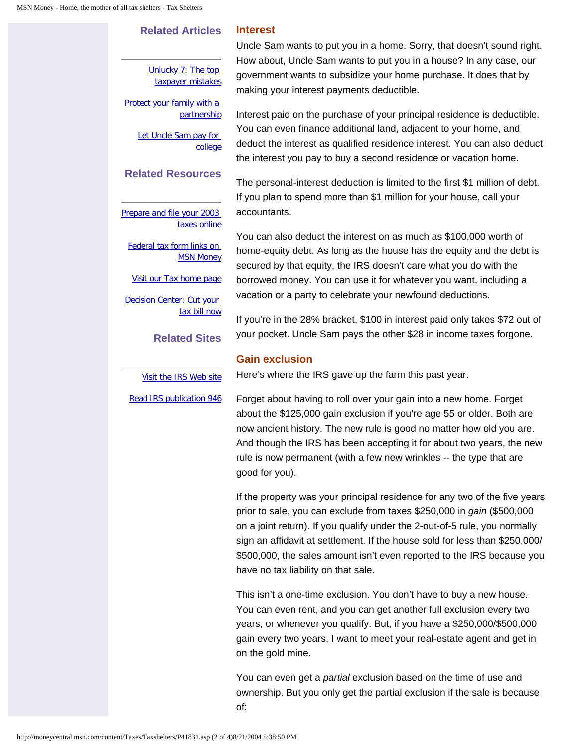## **Related Articles**

**Interest**

[Unlucky 7: The top](http://moneycentral.msn.com/content/Taxes/Cutyourtaxes/P41352.asp)  [taxpayer mistakes](http://moneycentral.msn.com/content/Taxes/Cutyourtaxes/P41352.asp)

[Protect your family with a](http://moneycentral.msn.com/content/Taxes/Taxshelters/P33545.asp)  **[partnership](http://moneycentral.msn.com/content/Taxes/Taxshelters/P33545.asp)** 

> Let Uncle Sam pay for [college](http://moneycentral.msn.com/content/CollegeandFamily/Cutcollegecosts/P36840.asp)

## **Related Resources**

[Prepare and file your 2003](http://moneycentral.msn.com/redir/gredir.asp?pageid=MC_HRBLOCK_OLTP&target=http://ad.doubleclick.net/clk;6824273;8701577;s?http://www.hrblock.com/taxes/partner/product.jsp?productId=31%26otpPartnerId=1038)  [taxes online](http://moneycentral.msn.com/redir/gredir.asp?pageid=MC_HRBLOCK_OLTP&target=http://ad.doubleclick.net/clk;6824273;8701577;s?http://www.hrblock.com/taxes/partner/product.jsp?productId=31%26otpPartnerId=1038)

[Federal tax form links on](http://moneycentral.msn.com/taxes/taxinfo/fedpub.asp)  **[MSN Money](http://moneycentral.msn.com/taxes/taxinfo/fedpub.asp)** 

[Visit our Tax home page](http://moneycentral.msn.com/tax/home.asp)

[Decision Center: Cut your](http://moneycentral.msn.com/Content/Taxes/Cutyourtaxes/CutyourTaxes.asp)  [tax bill now](http://moneycentral.msn.com/Content/Taxes/Cutyourtaxes/CutyourTaxes.asp)

**Related Sites**

[Visit the IRS Web site](http://www.irs.gov/)

Uncle Sam wants to put you in a home. Sorry, that doesn't sound right. How about, Uncle Sam wants to put you in a house? In any case, our government wants to subsidize your home purchase. It does that by making your interest payments deductible.

Interest paid on the purchase of your principal residence is deductible. You can even finance additional land, adjacent to your home, and deduct the interest as qualified residence interest. You can also deduct the interest you pay to buy a second residence or vacation home.

The personal-interest deduction is limited to the first \$1 million of debt. If you plan to spend more than \$1 million for your house, call your accountants.

You can also deduct the interest on as much as \$100,000 worth of home-equity debt. As long as the house has the equity and the debt is secured by that equity, the IRS doesn't care what you do with the borrowed money. You can use it for whatever you want, including a vacation or a party to celebrate your newfound deductions.

If you're in the 28% bracket, \$100 in interest paid only takes \$72 out of your pocket. Uncle Sam pays the other \$28 in income taxes forgone.

### **Gain exclusion**

Here's where the IRS gave up the farm this past year.

[Read IRS publication 946](http://www.irs.gov/pub/irs-pdf/p946.pdf) Forget about having to roll over your gain into a new home. Forget about the \$125,000 gain exclusion if you're age 55 or older. Both are now ancient history. The new rule is good no matter how old you are. And though the IRS has been accepting it for about two years, the new rule is now permanent (with a few new wrinkles -- the type that are good for you).

> If the property was your principal residence for any two of the five years prior to sale, you can exclude from taxes \$250,000 in *gain* (\$500,000 on a joint return). If you qualify under the 2-out-of-5 rule, you normally sign an affidavit at settlement. If the house sold for less than \$250,000/ \$500,000, the sales amount isn't even reported to the IRS because you have no tax liability on that sale.

This isn't a one-time exclusion. You don't have to buy a new house. You can even rent, and you can get another full exclusion every two years, or whenever you qualify. But, if you have a \$250,000/\$500,000 gain every two years, I want to meet your real-estate agent and get in on the gold mine.

You can even get a *partial* exclusion based on the time of use and ownership. But you only get the partial exclusion if the sale is because of: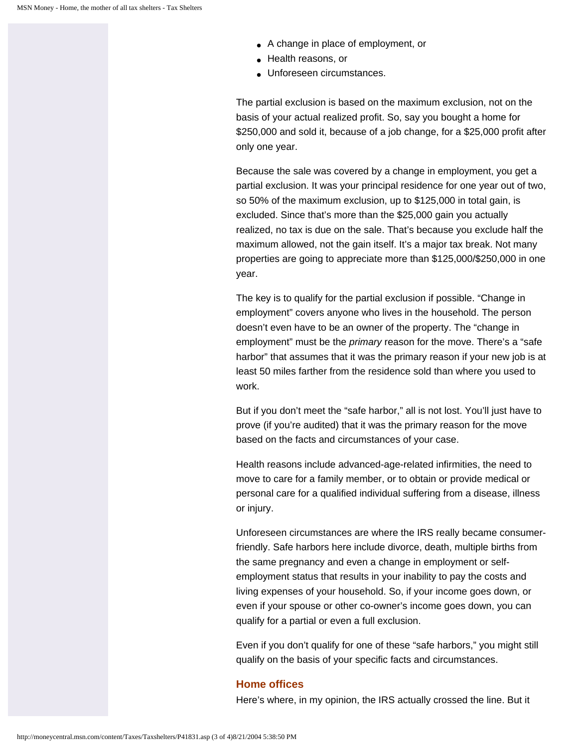- A change in place of employment, or
- Health reasons, or
- Unforeseen circumstances.

The partial exclusion is based on the maximum exclusion, not on the basis of your actual realized profit. So, say you bought a home for \$250,000 and sold it, because of a job change, for a \$25,000 profit after only one year.

Because the sale was covered by a change in employment, you get a partial exclusion. It was your principal residence for one year out of two, so 50% of the maximum exclusion, up to \$125,000 in total gain, is excluded. Since that's more than the \$25,000 gain you actually realized, no tax is due on the sale. That's because you exclude half the maximum allowed, not the gain itself. It's a major tax break. Not many properties are going to appreciate more than \$125,000/\$250,000 in one year.

The key is to qualify for the partial exclusion if possible. "Change in employment" covers anyone who lives in the household. The person doesn't even have to be an owner of the property. The "change in employment" must be the *primary* reason for the move. There's a "safe harbor" that assumes that it was the primary reason if your new job is at least 50 miles farther from the residence sold than where you used to work.

But if you don't meet the "safe harbor," all is not lost. You'll just have to prove (if you're audited) that it was the primary reason for the move based on the facts and circumstances of your case.

Health reasons include advanced-age-related infirmities, the need to move to care for a family member, or to obtain or provide medical or personal care for a qualified individual suffering from a disease, illness or injury.

Unforeseen circumstances are where the IRS really became consumerfriendly. Safe harbors here include divorce, death, multiple births from the same pregnancy and even a change in employment or selfemployment status that results in your inability to pay the costs and living expenses of your household. So, if your income goes down, or even if your spouse or other co-owner's income goes down, you can qualify for a partial or even a full exclusion.

Even if you don't qualify for one of these "safe harbors," you might still qualify on the basis of your specific facts and circumstances.

## **Home offices**

Here's where, in my opinion, the IRS actually crossed the line. But it